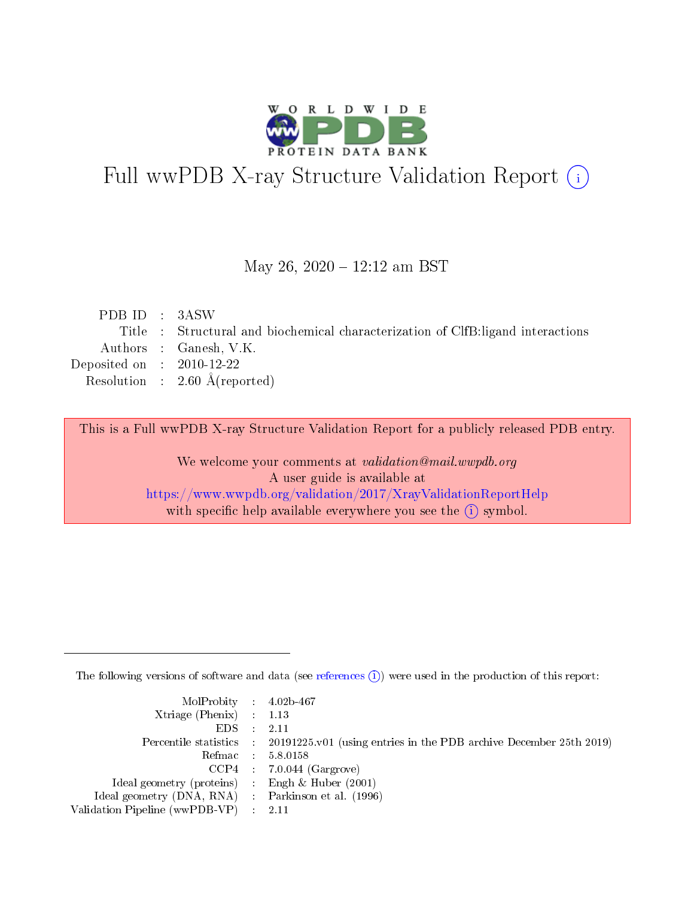

# Full wwPDB X-ray Structure Validation Report (i)

#### May 26, 2020 - 12:12 am BST

| PDB ID : 3ASW                        |                                                                                 |
|--------------------------------------|---------------------------------------------------------------------------------|
|                                      | Title : Structural and biochemical characterization of ClfB:ligand interactions |
|                                      | Authors : Ganesh, V.K.                                                          |
| Deposited on $\therefore$ 2010-12-22 |                                                                                 |
|                                      | Resolution : $2.60 \text{ Å}$ (reported)                                        |
|                                      |                                                                                 |

This is a Full wwPDB X-ray Structure Validation Report for a publicly released PDB entry.

We welcome your comments at validation@mail.wwpdb.org A user guide is available at <https://www.wwpdb.org/validation/2017/XrayValidationReportHelp> with specific help available everywhere you see the  $(i)$  symbol.

The following versions of software and data (see [references](https://www.wwpdb.org/validation/2017/XrayValidationReportHelp#references)  $(i)$ ) were used in the production of this report:

| MolProbity : 4.02b-467                              |                                                                                            |
|-----------------------------------------------------|--------------------------------------------------------------------------------------------|
| Xtriage (Phenix) $: 1.13$                           |                                                                                            |
| $EDS = 2.11$                                        |                                                                                            |
|                                                     | Percentile statistics : 20191225.v01 (using entries in the PDB archive December 25th 2019) |
|                                                     | Refmac : 5.8.0158                                                                          |
|                                                     | $CCP4$ : 7.0.044 (Gargrove)                                                                |
| Ideal geometry (proteins) : Engh $\&$ Huber (2001)  |                                                                                            |
| Ideal geometry (DNA, RNA) : Parkinson et al. (1996) |                                                                                            |
| Validation Pipeline (wwPDB-VP) : 2.11               |                                                                                            |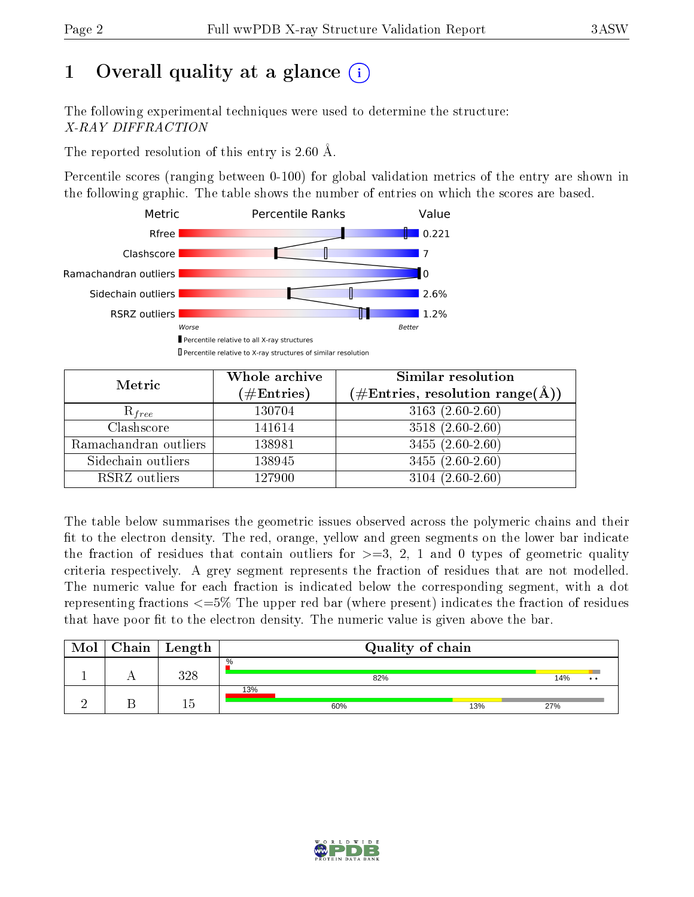# 1 [O](https://www.wwpdb.org/validation/2017/XrayValidationReportHelp#overall_quality)verall quality at a glance  $(i)$

The following experimental techniques were used to determine the structure: X-RAY DIFFRACTION

The reported resolution of this entry is 2.60 Å.

Percentile scores (ranging between 0-100) for global validation metrics of the entry are shown in the following graphic. The table shows the number of entries on which the scores are based.



| Metric                | Whole archive<br>$(\#\text{Entries})$ | <b>Similar resolution</b><br>$(\#\text{Entries}, \text{resolution range}(\textup{\AA}))$ |
|-----------------------|---------------------------------------|------------------------------------------------------------------------------------------|
| $R_{free}$            | 130704                                | 3163 $(2.60-2.60)$                                                                       |
| Clashscore            | 141614                                | $3518(2.60-2.60)$                                                                        |
| Ramachandran outliers | 138981                                | $3455(2.60-2.60)$                                                                        |
| Sidechain outliers    | 138945                                | $3455(2.60-2.60)$                                                                        |
| RSRZ outliers         | 127900                                | $3104(2.60-2.60)$                                                                        |

The table below summarises the geometric issues observed across the polymeric chains and their fit to the electron density. The red, orange, yellow and green segments on the lower bar indicate the fraction of residues that contain outliers for  $>=3, 2, 1$  and 0 types of geometric quality criteria respectively. A grey segment represents the fraction of residues that are not modelled. The numeric value for each fraction is indicated below the corresponding segment, with a dot representing fractions  $\epsilon=5\%$  The upper red bar (where present) indicates the fraction of residues that have poor fit to the electron density. The numeric value is given above the bar.

| Mol | ${\rm Chain \mid Length}$ | Quality of chain     |     |                      |
|-----|---------------------------|----------------------|-----|----------------------|
|     | 298                       | $\frac{0}{0}$<br>82% |     | 14%<br>$\cdot \cdot$ |
|     |                           | 13%<br>60%           | 13% | 27%                  |

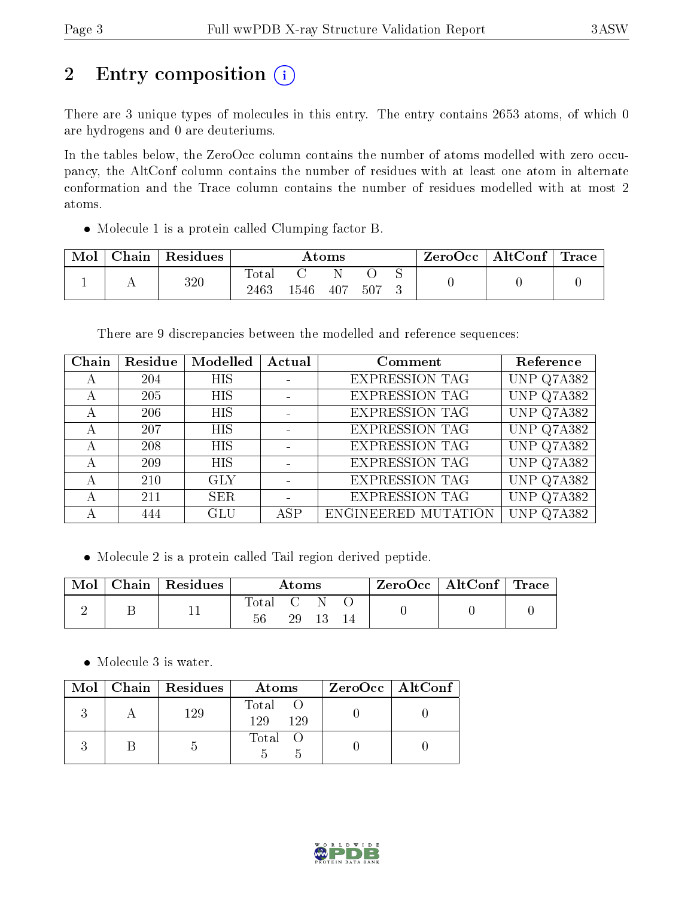# 2 Entry composition (i)

There are 3 unique types of molecules in this entry. The entry contains 2653 atoms, of which 0 are hydrogens and 0 are deuteriums.

In the tables below, the ZeroOcc column contains the number of atoms modelled with zero occupancy, the AltConf column contains the number of residues with at least one atom in alternate conformation and the Trace column contains the number of residues modelled with at most 2 atoms.

Molecule 1 is a protein called Clumping factor B.

| Mol | ${\rm Chain}$ | Residues |                        |      | Atoms |     | ZeroOcc∣ | $\mid$ AltConf $\mid$ Trace |  |
|-----|---------------|----------|------------------------|------|-------|-----|----------|-----------------------------|--|
|     |               | 320      | $\text{Total}$<br>2463 | 1546 | 407   | 507 |          |                             |  |

There are 9 discrepancies between the modelled and reference sequences:

| Chain | Residue | Modelled   | Actual | Comment               | Reference  |
|-------|---------|------------|--------|-----------------------|------------|
| А     | 204     | <b>HIS</b> |        | <b>EXPRESSION TAG</b> | UNP Q7A382 |
|       | 205     | <b>HIS</b> |        | <b>EXPRESSION TAG</b> | UNP Q7A382 |
| А     | 206     | <b>HIS</b> |        | <b>EXPRESSION TAG</b> | UNP Q7A382 |
| А     | 207     | <b>HIS</b> |        | <b>EXPRESSION TAG</b> | UNP Q7A382 |
| А     | 208     | <b>HIS</b> |        | <b>EXPRESSION TAG</b> | UNP Q7A382 |
| А     | 209     | <b>HIS</b> |        | <b>EXPRESSION TAG</b> | UNP Q7A382 |
| А     | 210     | <b>GLY</b> |        | <b>EXPRESSION TAG</b> | UNP Q7A382 |
|       | 211     | <b>SER</b> |        | <b>EXPRESSION TAG</b> | UNP Q7A382 |
|       | 444     | GLU        | ASP    | ENGINEERED MUTATION   | UNP Q7A382 |

Molecule 2 is a protein called Tail region derived peptide.

|  | $Chain   Residues$ | Atoms       |      |  |  | $\rm ZeroOcc$   AltConf   Trace |  |
|--|--------------------|-------------|------|--|--|---------------------------------|--|
|  |                    | Total<br>56 | 29 - |  |  |                                 |  |

• Molecule 3 is water.

|  | Mol   Chain   Residues | Atoms               | $ZeroOcc \mid AltConf \mid$ |
|--|------------------------|---------------------|-----------------------------|
|  | 129                    | Total<br>129<br>129 |                             |
|  |                        | Total               |                             |

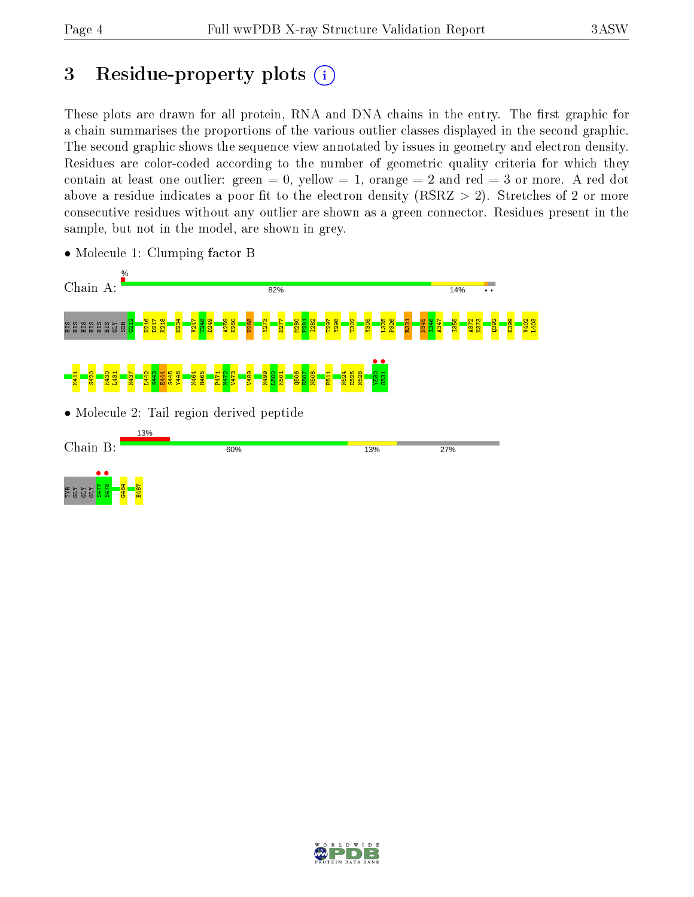## 3 Residue-property plots  $(i)$

These plots are drawn for all protein, RNA and DNA chains in the entry. The first graphic for a chain summarises the proportions of the various outlier classes displayed in the second graphic. The second graphic shows the sequence view annotated by issues in geometry and electron density. Residues are color-coded according to the number of geometric quality criteria for which they contain at least one outlier: green  $= 0$ , yellow  $= 1$ , orange  $= 2$  and red  $= 3$  or more. A red dot above a residue indicates a poor fit to the electron density (RSRZ  $> 2$ ). Stretches of 2 or more consecutive residues without any outlier are shown as a green connector. Residues present in the sample, but not in the model, are shown in grey.



• Molecule 1: Clumping factor B

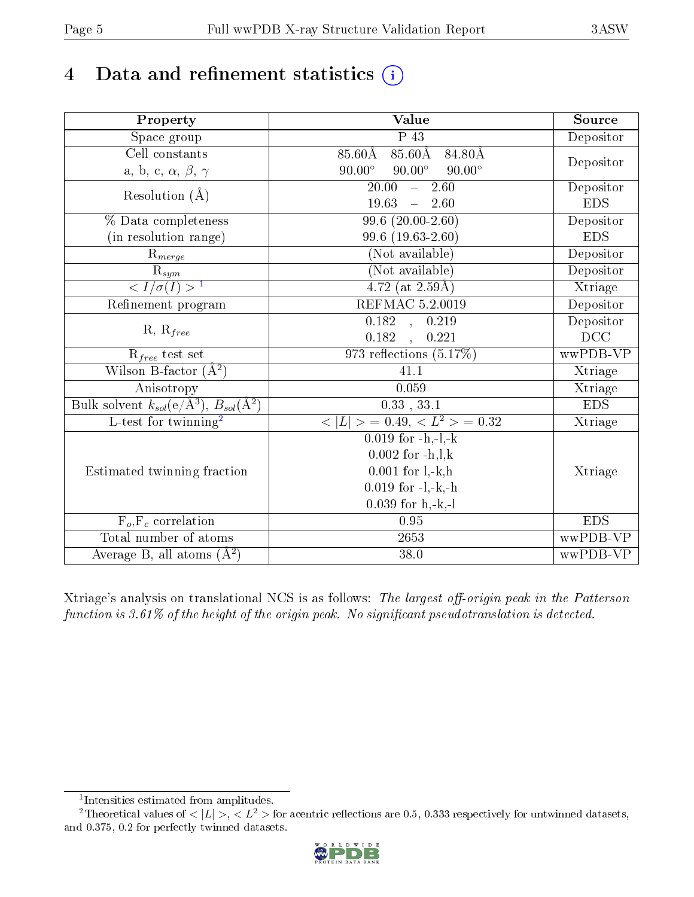# 4 Data and refinement statistics  $(i)$

| Property                                                         | Value                                                    | Source     |
|------------------------------------------------------------------|----------------------------------------------------------|------------|
| $\overline{\text{Space}}$ group                                  | $\overline{P_43}$                                        | Depositor  |
| Cell constants                                                   | 85.60Å 85.60Å 84.80Å                                     |            |
| a, b, c, $\alpha,\,\beta,\,\gamma$                               | $90.00^\circ$<br>$90.00^\circ$<br>$90.00^\circ$          | Depositor  |
| Resolution $(\AA)$                                               | $\overline{20.00}$<br>$\overline{2.60}$<br>$\frac{1}{2}$ | Depositor  |
|                                                                  | 19.63<br>$\frac{1}{2}$<br>2.60                           | <b>EDS</b> |
| % Data completeness                                              | $99.6(20.00-2.60)$                                       | Depositor  |
| (in resolution range)                                            | 99.6 (19.63-2.60)                                        | <b>EDS</b> |
| $R_{merge}$                                                      | (Not available)                                          | Depositor  |
|                                                                  | (Not available)                                          | Depositor  |
| $rac{R_{sym}}{< I/\sigma(I) > 1}$                                | 4.72 (at $2.59\text{\AA})$                               | Xtriage    |
| Refinement program                                               | <b>REFMAC 5.2.0019</b>                                   | Depositor  |
|                                                                  | 0.182, 0.219                                             | Depositor  |
| $R, R_{free}$                                                    | 0.182<br>0.221                                           | $DCC$      |
| $\mathcal{R}_{free}$ test set                                    | 973 reflections $(5.17\%)$                               | wwPDB-VP   |
| Wilson B-factor $(A^2)$                                          | 41.1                                                     | Xtriage    |
| Anisotropy                                                       | 0.059                                                    | Xtriage    |
| Bulk solvent $k_{sol}(\text{e}/\text{A}^3), B_{sol}(\text{A}^2)$ | $0.33$ , $33.1$                                          | <b>EDS</b> |
| L-test for twinning <sup>2</sup>                                 | $< L >$ = 0.49, $< L^2 >$ = 0.32                         | Xtriage    |
|                                                                  | $0.019$ for $-h,-l,-k$                                   |            |
|                                                                  | $0.002$ for $-h, l, k$                                   |            |
| Estimated twinning fraction                                      | $0.001$ for $l, -k, h$                                   | Xtriage    |
|                                                                  | $0.019$ for $-l,-k,-h$                                   |            |
|                                                                  | $0.039$ for h,-k,-l                                      |            |
| $F_o, F_c$ correlation                                           | $0.95\,$                                                 | <b>EDS</b> |
| Total number of atoms                                            | 2653                                                     | wwPDB-VP   |
| Average B, all atoms $(A^2)$                                     | $38.0\,$                                                 | wwPDB-VP   |

Xtriage's analysis on translational NCS is as follows: The largest off-origin peak in the Patterson function is  $3.61\%$  of the height of the origin peak. No significant pseudotranslation is detected.

<sup>&</sup>lt;sup>2</sup>Theoretical values of  $\langle |L| \rangle$ ,  $\langle L^2 \rangle$  for acentric reflections are 0.5, 0.333 respectively for untwinned datasets, and 0.375, 0.2 for perfectly twinned datasets.



<span id="page-4-1"></span><span id="page-4-0"></span><sup>1</sup> Intensities estimated from amplitudes.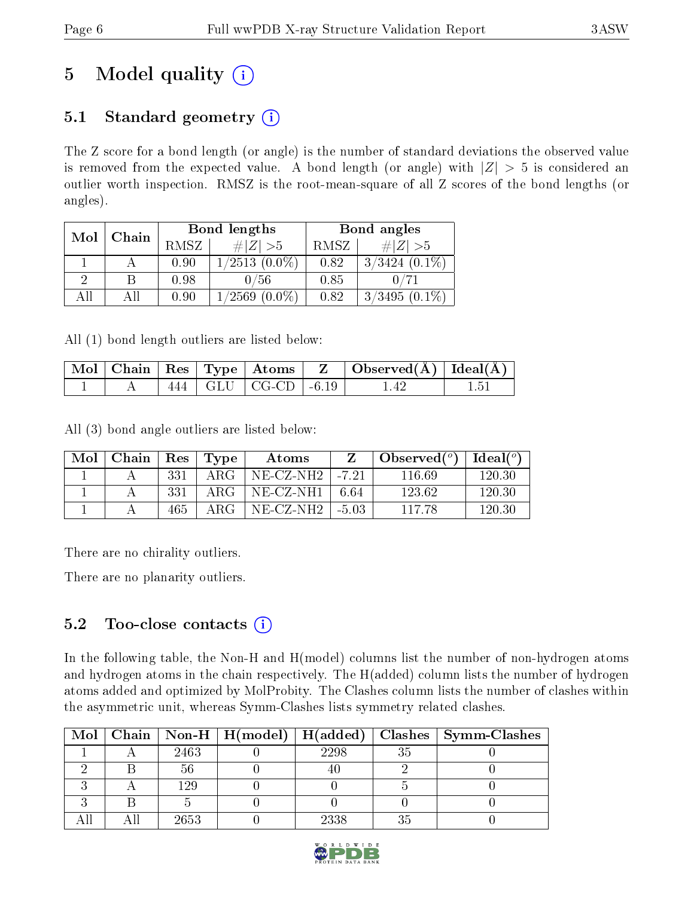# 5 Model quality  $(i)$

## 5.1 Standard geometry  $(i)$

The Z score for a bond length (or angle) is the number of standard deviations the observed value is removed from the expected value. A bond length (or angle) with  $|Z| > 5$  is considered an outlier worth inspection. RMSZ is the root-mean-square of all Z scores of the bond lengths (or angles).

| Mol | Chain |      | Bond lengths        | Bond angles |                    |  |
|-----|-------|------|---------------------|-------------|--------------------|--|
|     |       | RMSZ | # Z  > 5            | RMSZ        | # $ Z  > 5$        |  |
|     |       | 0.90 | $1/2513(0.0\%)$     | 0.82        | $3/3424$ $(0.1\%)$ |  |
|     |       | 0.98 | 0/56                | 0.85        |                    |  |
| ΔH  |       | 0.90 | 1/2569<br>$(0.0\%)$ | 0.82        | $3/3495(0.1\%)$    |  |

All (1) bond length outliers are listed below:

|  |  |                             | $\mid$ Mol $\mid$ Chain $\mid$ Res $\mid$ Type $\mid$ Atoms $\mid$ $\mid$ $\mid$ $\mid$ Observed(Å) $\mid$ Ideal(Å) $\mid$ |  |
|--|--|-----------------------------|----------------------------------------------------------------------------------------------------------------------------|--|
|  |  | $444$   GLU   CG-CD   -6.19 |                                                                                                                            |  |

All (3) bond angle outliers are listed below:

| Mol | Chain   Res   Type |     |            | Atoms               |       | Observed $(°)$ | Ideal( $^o$ ) |
|-----|--------------------|-----|------------|---------------------|-------|----------------|---------------|
|     |                    | 331 | $\rm{ARG}$ | $NE-CZ-NH2$   -7.21 |       | 116 69         | 120.30        |
|     |                    | 331 | ARG-       | $NE-CZ-NH1$   6.64  |       | 123.62         | 120.30        |
|     |                    | 465 | ARG        | NE-CZ-NH2-          | -5.03 | 117.78         | 120.30        |

There are no chirality outliers.

There are no planarity outliers.

## $5.2$  Too-close contacts  $(i)$

In the following table, the Non-H and H(model) columns list the number of non-hydrogen atoms and hydrogen atoms in the chain respectively. The H(added) column lists the number of hydrogen atoms added and optimized by MolProbity. The Clashes column lists the number of clashes within the asymmetric unit, whereas Symm-Clashes lists symmetry related clashes.

|  |      |      |    | Mol   Chain   Non-H   H(model)   H(added)   Clashes   Symm-Clashes |
|--|------|------|----|--------------------------------------------------------------------|
|  | 2463 | 2298 | 35 |                                                                    |
|  |      |      |    |                                                                    |
|  | 129  |      |    |                                                                    |
|  |      |      |    |                                                                    |
|  | 2653 | 2338 |    |                                                                    |

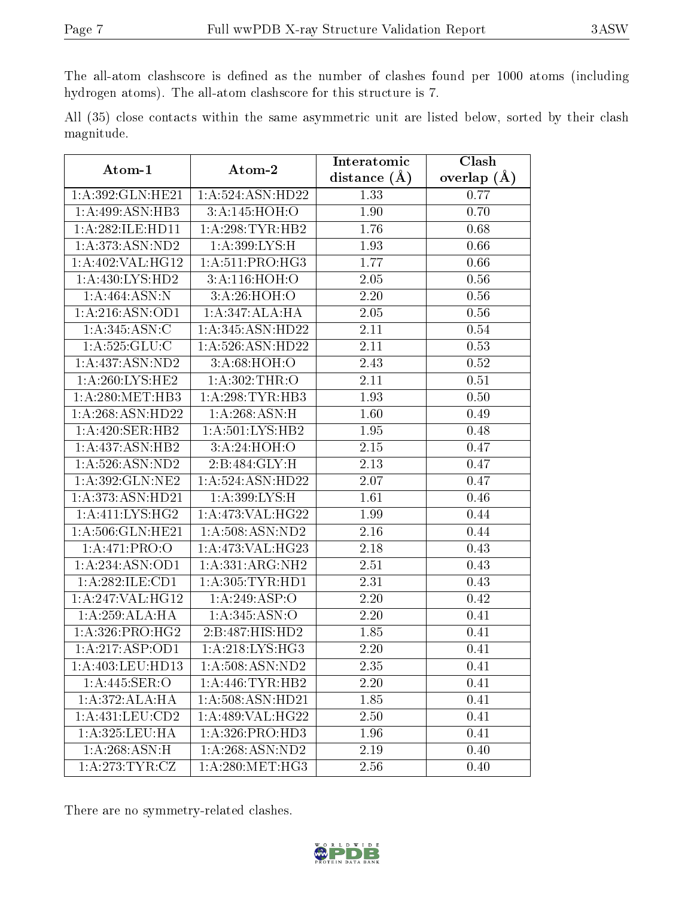The all-atom clashscore is defined as the number of clashes found per 1000 atoms (including hydrogen atoms). The all-atom clashscore for this structure is 7.

All (35) close contacts within the same asymmetric unit are listed below, sorted by their clash magnitude.

| Atom-1              | Atom-2              | Interatomic       | <b>Clash</b>      |
|---------------------|---------------------|-------------------|-------------------|
|                     |                     | distance $(A)$    | overlap $(A)$     |
| 1:A:392:GLN:HE21    | 1: A:524: ASN:HD22  | 1.33              | 0.77              |
| 1:A:499:ASN:HB3     | 3:A:145:HOH:O       | 1.90              | 0.70              |
| 1: A:282: ILE: HD11 | 1:A:298:TYR:HB2     | 1.76              | 0.68              |
| 1:A:373:ASN:ND2     | 1: A:399: LYS:H     | 1.93              | 0.66              |
| 1: A:402:VAL:HG12   | 1: A:511:PRO:HG3    | 1.77              | 0.66              |
| 1: A: 430: LYS: HD2 | 3:A:116:HOH:O       | 2.05              | 0.56              |
| 1:A:464:ASN:N       | 3:A:26:HOH:O        | 2.20              | 0.56              |
| 1: A:216: ASN:OD1   | 1:A:347:ALA:HA      | 2.05              | 0.56              |
| 1:A:345:ASN:C       | 1: A:345: ASN: HD22 | 2.11              | 0.54              |
| 1:A:525:GLU:C       | 1:A:526:ASN:HD22    | 2.11              | 0.53              |
| 1:A:437:ASN:ND2     | 3:A:68:HOH:O        | 2.43              | 0.52              |
| 1: A:260: LYS: HE2  | 1: A:302:THR:O      | 2.11              | 0.51              |
| 1: A:280:MET:HB3    | 1:A:298:TYR:HB3     | 1.93              | 0.50              |
| 1: A:268: ASN:HD22  | 1:A:268:ASN:H       | 1.60              | 0.49              |
| 1:A:420:SER:HB2     | 1: A:501:LYS:HB2    | 1.95              | 0.48              |
| 1:A:437:ASN:HB2     | 3:A:24:HOH:O        | 2.15              | 0.47              |
| 1:A:526:ASN:ND2     | 2:B:484:GLY:H       | 2.13              | 0.47              |
| 1:A:392:GLN:NE2     | 1:A:524:ASN:HD22    | 2.07              | 0.47              |
| 1:A:373:ASN:HD21    | 1: A:399: LYS:H     | 1.61              | 0.46              |
| 1:A:411:LYS:HG2     | $1:$ A:473:VAL:HG22 | 1.99              | 0.44              |
| 1: A:506: GLN: HE21 | 1: A:508: ASN:ND2   | 2.16              | 0.44              |
| 1:A:471:PRO:O       | 1:A:473:VAL:HG23    | 2.18              | 0.43              |
| 1: A:234: ASN:OD1   | 1:A:331:ARG:NH2     | 2.51              | 0.43              |
| 1:A:282:ILE:CD1     | 1: A: 305: TYR: HD1 | 2.31              | 0.43              |
| 1:A:247:VAL:HG12    | 1:A:249:ASP:O       | 2.20              | 0.42              |
| 1:A:259:ALA:HA      | 1:A:345:ASN:O       | 2.20              | 0.41              |
| 1:A:326:PRO:HG2     | 2:B:487:HIS:HD2     | 1.85              | 0.41              |
| 1:A:217:ASP:OD1     | 1:A:218:LYS:HG3     | 2.20              | 0.41              |
| 1:A:403:LEU:HD13    | 1: A:508: ASN: ND2  | $\overline{2.35}$ | $\overline{0.41}$ |
| 1:A:445:SER:O       | 1: A:446: TYR:HB2   | 2.20              | 0.41              |
| 1:A:372:ALA:HA      | 1: A:508: ASN:HD21  | 1.85              | 0.41              |
| 1:A:431:LEU:CD2     | 1:A:489:VAL:HG22    | 2.50              | 0.41              |
| 1:A:325:LEU:HA      | 1:A:326:PRO:HD3     | 1.96              | 0.41              |
| 1: A:268: ASN:H     | 1:A:268:ASN:ND2     | 2.19              | 0.40              |
| 1: A:273:TYR:CZ     | 1: A:280:MET:HG3    | 2.56              | 0.40              |

There are no symmetry-related clashes.

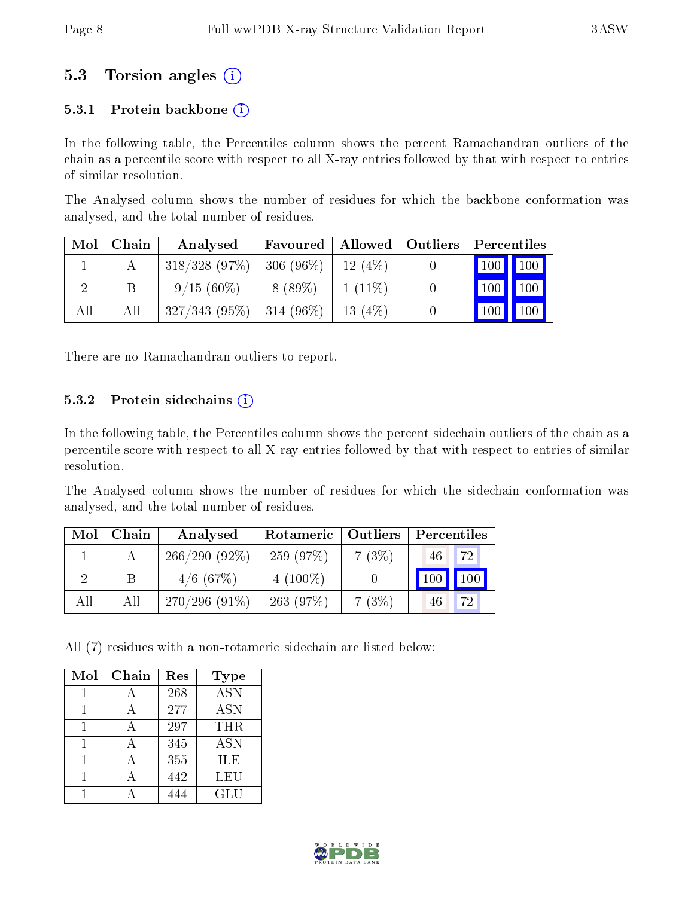## 5.3 Torsion angles  $(i)$

### 5.3.1 Protein backbone  $(i)$

In the following table, the Percentiles column shows the percent Ramachandran outliers of the chain as a percentile score with respect to all X-ray entries followed by that with respect to entries of similar resolution.

The Analysed column shows the number of residues for which the backbone conformation was analysed, and the total number of residues.

| Mol | Chain | Analysed         | Favoured    | $+$ Allowed $+$ | $\vert$ Outliers | Percentiles         |                    |
|-----|-------|------------------|-------------|-----------------|------------------|---------------------|--------------------|
|     |       | $318/328$ (97\%) | $306(96\%)$ | 12(4%)          |                  | $\vert$ 100 $\vert$ | $\blacksquare$ 100 |
|     | B     | $9/15(60\%)$     | 8 (89\%)    | $1(11\%)$       |                  | 100                 | 100                |
| All | All   | $327/343(95\%)$  | 314 (96\%)  | 13 $(4%)$       |                  | 100                 | 100                |

There are no Ramachandran outliers to report.

#### 5.3.2 Protein sidechains  $(i)$

In the following table, the Percentiles column shows the percent sidechain outliers of the chain as a percentile score with respect to all X-ray entries followed by that with respect to entries of similar resolution.

The Analysed column shows the number of residues for which the sidechain conformation was analysed, and the total number of residues.

| Mol | Chain | Analysed        | Rotameric   Outliers |          | Percentiles |
|-----|-------|-----------------|----------------------|----------|-------------|
|     |       | $266/290(92\%)$ | 259(97%)             | 7(3%)    | 72<br>46    |
|     |       | $4/6$ (67\%)    | $4(100\%)$           |          | 100<br>100  |
| All | All   | $270/296(91\%)$ | 263(97%)             | $7(3\%)$ | 72<br>46    |

All (7) residues with a non-rotameric sidechain are listed below:

| Mol | Chain | Res | <b>Type</b>             |
|-----|-------|-----|-------------------------|
|     |       | 268 | $\overline{\text{ASN}}$ |
|     |       | 277 | <b>ASN</b>              |
|     |       | 297 | THR                     |
|     |       | 345 | <b>ASN</b>              |
|     |       | 355 | ILE                     |
|     |       | 442 | LEU                     |
|     |       |     | GLU                     |

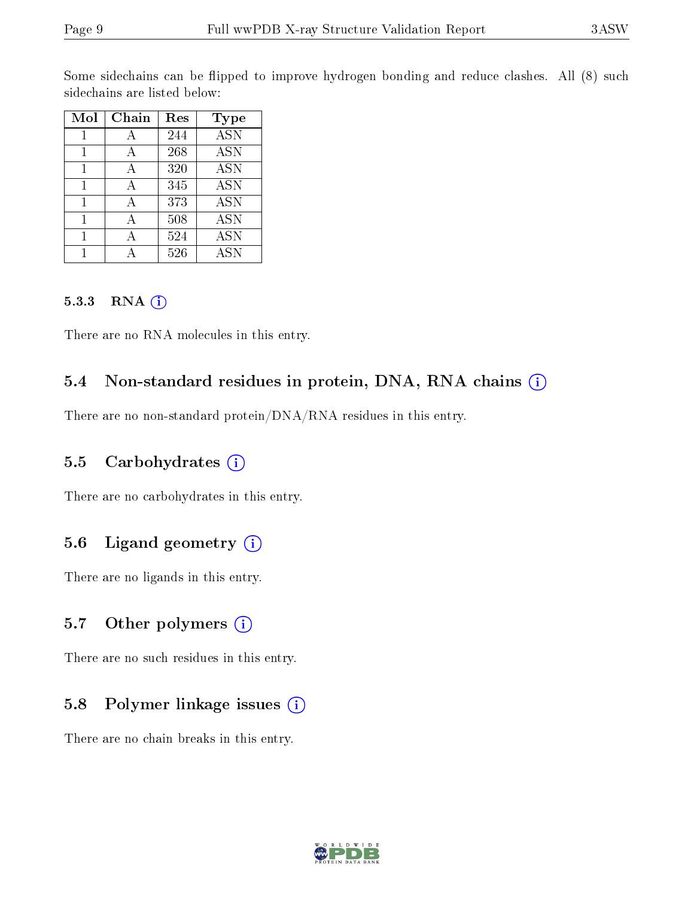Some sidechains can be flipped to improve hydrogen bonding and reduce clashes. All (8) such sidechains are listed below:

| Mol | Chain | Res | <b>Type</b> |
|-----|-------|-----|-------------|
|     | А     | 244 | <b>ASN</b>  |
|     | А     | 268 | <b>ASN</b>  |
| 1   | A     | 320 | <b>ASN</b>  |
| 1   | А     | 345 | <b>ASN</b>  |
| 1   |       | 373 | <b>ASN</b>  |
|     |       | 508 | <b>ASN</b>  |
|     |       | 524 | <b>ASN</b>  |
|     |       | 526 | <b>ASN</b>  |

#### 5.3.3 RNA (i)

There are no RNA molecules in this entry.

## 5.4 Non-standard residues in protein, DNA, RNA chains (i)

There are no non-standard protein/DNA/RNA residues in this entry.

#### 5.5 Carbohydrates  $(i)$

There are no carbohydrates in this entry.

### 5.6 Ligand geometry (i)

There are no ligands in this entry.

### 5.7 [O](https://www.wwpdb.org/validation/2017/XrayValidationReportHelp#nonstandard_residues_and_ligands)ther polymers  $(i)$

There are no such residues in this entry.

### 5.8 Polymer linkage issues (i)

There are no chain breaks in this entry.